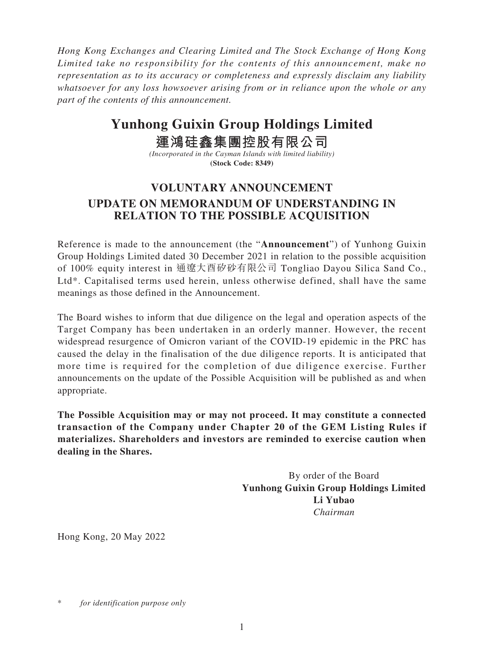*Hong Kong Exchanges and Clearing Limited and The Stock Exchange of Hong Kong Limited take no responsibility for the contents of this announcement, make no representation as to its accuracy or completeness and expressly disclaim any liability whatsoever for any loss howsoever arising from or in reliance upon the whole or any part of the contents of this announcement.*

## **Yunhong Guixin Group Holdings Limited**

## **運鴻硅鑫集團控股有限公司**

*(Incorporated in the Cayman Islands with limited liability)* **(Stock Code: 8349)**

## **VOLUNTARY ANNOUNCEMENT UPDATE ON MEMORANDUM OF UNDERSTANDING IN RELATION TO THE POSSIBLE ACQUISITION**

Reference is made to the announcement (the "**Announcement**") of Yunhong Guixin Group Holdings Limited dated 30 December 2021 in relation to the possible acquisition of 100% equity interest in 通遼大酉矽砂有限公司 Tongliao Dayou Silica Sand Co., Ltd\*. Capitalised terms used herein, unless otherwise defined, shall have the same meanings as those defined in the Announcement.

The Board wishes to inform that due diligence on the legal and operation aspects of the Target Company has been undertaken in an orderly manner. However, the recent widespread resurgence of Omicron variant of the COVID-19 epidemic in the PRC has caused the delay in the finalisation of the due diligence reports. It is anticipated that more time is required for the completion of due diligence exercise. Further announcements on the update of the Possible Acquisition will be published as and when appropriate.

**The Possible Acquisition may or may not proceed. It may constitute a connected transaction of the Company under Chapter 20 of the GEM Listing Rules if materializes. Shareholders and investors are reminded to exercise caution when dealing in the Shares.**

> By order of the Board **Yunhong Guixin Group Holdings Limited Li Yubao** *Chairman*

Hong Kong, 20 May 2022

for *identification* purpose only